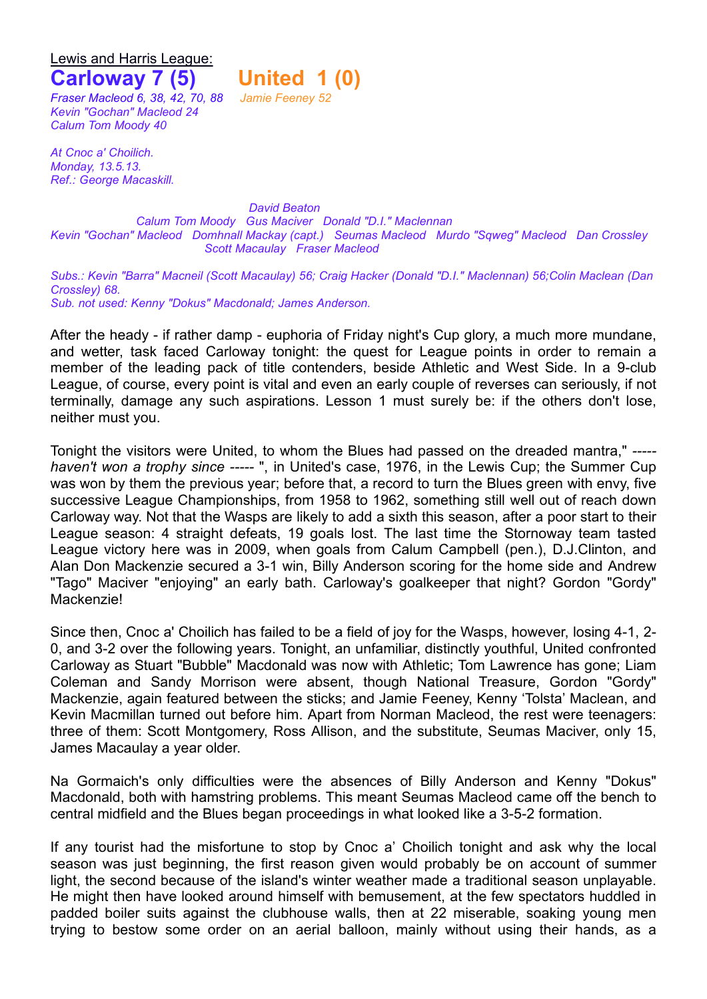Lewis and Harris League:

## **Carloway 7 (5) United 1 (0)**

*Fraser Macleod 6, 38, 42, 70, 88 Jamie Feeney 52 Kevin "Gochan" Macleod 24 Calum Tom Moody 40*

*At Cnoc a' Choilich. Monday, 13.5.13. Ref.: George Macaskill.*

*David Beaton Calum Tom Moody Gus Maciver Donald "D.I." Maclennan Kevin "Gochan" Macleod Domhnall Mackay (capt.) Seumas Macleod Murdo "Sqweg" Macleod Dan Crossley Scott Macaulay Fraser Macleod*

*Subs.: Kevin "Barra" Macneil (Scott Macaulay) 56; Craig Hacker (Donald "D.I." Maclennan) 56;Colin Maclean (Dan Crossley) 68.*

*Sub. not used: Kenny "Dokus" Macdonald; James Anderson.*

After the heady - if rather damp - euphoria of Friday night's Cup glory, a much more mundane, and wetter, task faced Carloway tonight: the quest for League points in order to remain a member of the leading pack of title contenders, beside Athletic and West Side. In a 9-club League, of course, every point is vital and even an early couple of reverses can seriously, if not terminally, damage any such aspirations. Lesson 1 must surely be: if the others don't lose, neither must you.

Tonight the visitors were United, to whom the Blues had passed on the dreaded mantra," *---- haven't won a trophy since -----* ", in United's case, 1976, in the Lewis Cup; the Summer Cup was won by them the previous year; before that, a record to turn the Blues green with envy, five successive League Championships, from 1958 to 1962, something still well out of reach down Carloway way. Not that the Wasps are likely to add a sixth this season, after a poor start to their League season: 4 straight defeats, 19 goals lost. The last time the Stornoway team tasted League victory here was in 2009, when goals from Calum Campbell (pen.), D.J.Clinton, and Alan Don Mackenzie secured a 3-1 win, Billy Anderson scoring for the home side and Andrew "Tago" Maciver "enjoying" an early bath. Carloway's goalkeeper that night? Gordon "Gordy" Mackenzie!

Since then, Cnoc a' Choilich has failed to be a field of joy for the Wasps, however, losing 4-1, 2- 0, and 3-2 over the following years. Tonight, an unfamiliar, distinctly youthful, United confronted Carloway as Stuart "Bubble" Macdonald was now with Athletic; Tom Lawrence has gone; Liam Coleman and Sandy Morrison were absent, though National Treasure, Gordon "Gordy" Mackenzie, again featured between the sticks; and Jamie Feeney, Kenny 'Tolsta' Maclean, and Kevin Macmillan turned out before him. Apart from Norman Macleod, the rest were teenagers: three of them: Scott Montgomery, Ross Allison, and the substitute, Seumas Maciver, only 15, James Macaulay a year older.

Na Gormaich's only difficulties were the absences of Billy Anderson and Kenny "Dokus" Macdonald, both with hamstring problems. This meant Seumas Macleod came off the bench to central midfield and the Blues began proceedings in what looked like a 3-5-2 formation.

If any tourist had the misfortune to stop by Cnoc a' Choilich tonight and ask why the local season was just beginning, the first reason given would probably be on account of summer light, the second because of the island's winter weather made a traditional season unplayable. He might then have looked around himself with bemusement, at the few spectators huddled in padded boiler suits against the clubhouse walls, then at 22 miserable, soaking young men trying to bestow some order on an aerial balloon, mainly without using their hands, as a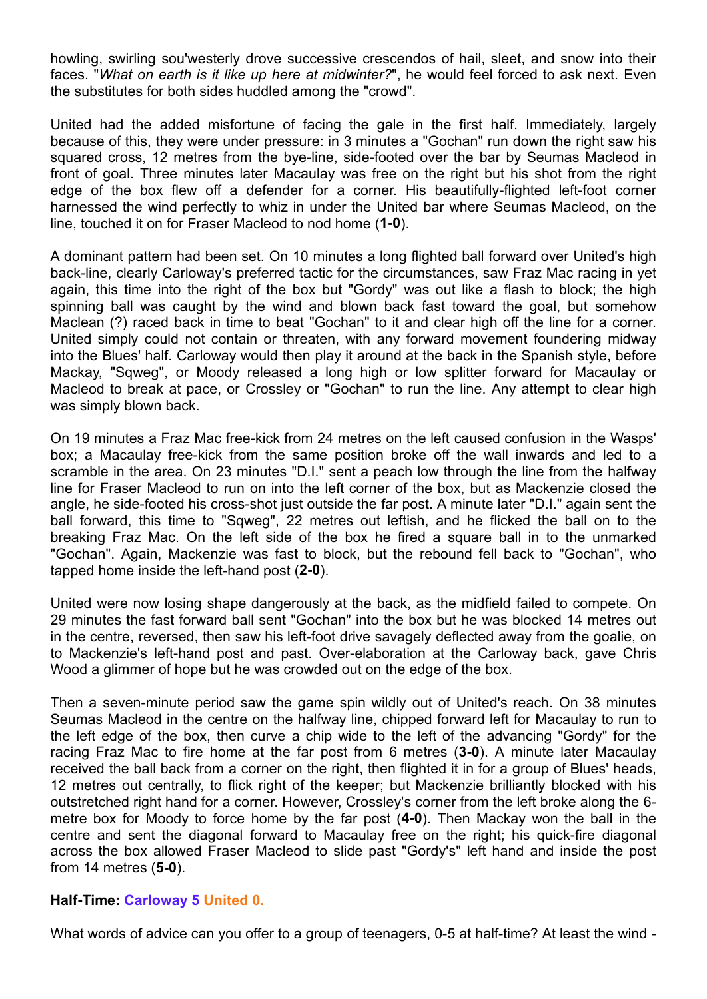howling, swirling sou'westerly drove successive crescendos of hail, sleet, and snow into their faces. "*What on earth is it like up here at midwinter?*", he would feel forced to ask next. Even the substitutes for both sides huddled among the "crowd".

United had the added misfortune of facing the gale in the first half. Immediately, largely because of this, they were under pressure: in 3 minutes a "Gochan" run down the right saw his squared cross, 12 metres from the bye-line, side-footed over the bar by Seumas Macleod in front of goal. Three minutes later Macaulay was free on the right but his shot from the right edge of the box flew off a defender for a corner. His beautifully-flighted left-foot corner harnessed the wind perfectly to whiz in under the United bar where Seumas Macleod, on the line, touched it on for Fraser Macleod to nod home (**1-0**).

A dominant pattern had been set. On 10 minutes a long flighted ball forward over United's high back-line, clearly Carloway's preferred tactic for the circumstances, saw Fraz Mac racing in yet again, this time into the right of the box but "Gordy" was out like a flash to block; the high spinning ball was caught by the wind and blown back fast toward the goal, but somehow Maclean (?) raced back in time to beat "Gochan" to it and clear high off the line for a corner. United simply could not contain or threaten, with any forward movement foundering midway into the Blues' half. Carloway would then play it around at the back in the Spanish style, before Mackay, "Sqweg", or Moody released a long high or low splitter forward for Macaulay or Macleod to break at pace, or Crossley or "Gochan" to run the line. Any attempt to clear high was simply blown back.

On 19 minutes a Fraz Mac free-kick from 24 metres on the left caused confusion in the Wasps' box; a Macaulay free-kick from the same position broke off the wall inwards and led to a scramble in the area. On 23 minutes "D.I." sent a peach low through the line from the halfway line for Fraser Macleod to run on into the left corner of the box, but as Mackenzie closed the angle, he side-footed his cross-shot just outside the far post. A minute later "D.I." again sent the ball forward, this time to "Sqweg", 22 metres out leftish, and he flicked the ball on to the breaking Fraz Mac. On the left side of the box he fired a square ball in to the unmarked "Gochan". Again, Mackenzie was fast to block, but the rebound fell back to "Gochan", who tapped home inside the left-hand post (**2-0**).

United were now losing shape dangerously at the back, as the midfield failed to compete. On 29 minutes the fast forward ball sent "Gochan" into the box but he was blocked 14 metres out in the centre, reversed, then saw his left-foot drive savagely deflected away from the goalie, on to Mackenzie's left-hand post and past. Over-elaboration at the Carloway back, gave Chris Wood a glimmer of hope but he was crowded out on the edge of the box.

Then a seven-minute period saw the game spin wildly out of United's reach. On 38 minutes Seumas Macleod in the centre on the halfway line, chipped forward left for Macaulay to run to the left edge of the box, then curve a chip wide to the left of the advancing "Gordy" for the racing Fraz Mac to fire home at the far post from 6 metres (**3-0**). A minute later Macaulay received the ball back from a corner on the right, then flighted it in for a group of Blues' heads, 12 metres out centrally, to flick right of the keeper; but Mackenzie brilliantly blocked with his outstretched right hand for a corner. However, Crossley's corner from the left broke along the 6 metre box for Moody to force home by the far post (**4-0**). Then Mackay won the ball in the centre and sent the diagonal forward to Macaulay free on the right; his quick-fire diagonal across the box allowed Fraser Macleod to slide past "Gordy's" left hand and inside the post from 14 metres (**5-0**).

## **Half-Time: Carloway 5 United 0.**

What words of advice can you offer to a group of teenagers, 0-5 at half-time? At least the wind -